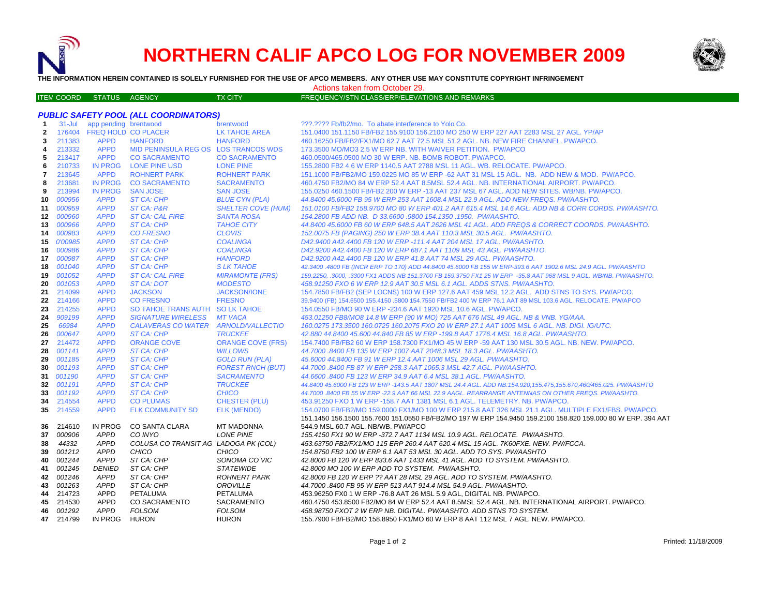

ITE M

# **NORTHERN CALIF APCO LOG FOR NOVEMBER 2009**



**THE INFORMATION HEREIN CONTAINED IS SOLELY FURNISHED FOR THE USE OF APCO MEMBERS. ANY OTHER USE MAY CONSTITUTE COPYRIGHT INFRINGEMENT**

Actions taken from October 29.

## M COORD STATUS AGENCY TX CITY TREQUENCY/STN CLASS/ERP/ELEVATIONS AND REMARKS

### *PUBLIC SAFETY POOL (ALL COORDINATORS)*

| 1            | $31 -$ Jul    | app pending brentwood      |                                      | brentwood                 | ???.???? Fb/fb2/mo. To abate interference to Yolo Co.                                                            |
|--------------|---------------|----------------------------|--------------------------------------|---------------------------|------------------------------------------------------------------------------------------------------------------|
| $\mathbf{2}$ |               | 176404 FREQ HOLD CO PLACER |                                      | LK TAHOE AREA             | 151.0400 151.1150 FB/FB2 155.9100 156.2100 MO 250 W ERP 227 AAT 2283 MSL 27 AGL. YP/AP                           |
| 3            | 211383        | <b>APPD</b>                | <b>HANFORD</b>                       | <b>HANFORD</b>            | 460.16250 FB/FB2/FX1/MO 62.7 AAT 72.5 MSL 51.2 AGL. NB. NEW FIRE CHANNEL. PW/APCO.                               |
| 4            | 213332        | <b>APPD</b>                | MID PENINSULA REG OS LOS TRANCOS WDS |                           | 173.3500 MO/MO3 2.5 W ERP NB. WITH WAIVER PETITION. PW/APCO                                                      |
| 5            | 213417        | <b>APPD</b>                | <b>CO SACRAMENTO</b>                 | <b>CO SACRAMENTO</b>      | 460.0500/465.0500 MO 30 W ERP. NB. BOMB ROBOT. PW/APCO.                                                          |
| 6            | 210733        | <b>IN PROG</b>             | LONE PINE USD                        | <b>LONE PINE</b>          | 155.2800 FB2 4.6 W ERP 1140.5 AAT 2788 MSL 11 AGL. WB. RELOCATE. PW/APCO.                                        |
| 7            | 213645        | <b>APPD</b>                | <b>ROHNERT PARK</b>                  | <b>ROHNERT PARK</b>       | 151.1000 FB/FB2/MO 159.0225 MO 85 W ERP -62 AAT 31 MSL 15 AGL. NB. ADD NEW & MOD. PW/APCO.                       |
| 8            | 213681        | <b>IN PROG</b>             | <b>CO SACRAMENTO</b>                 | <b>SACRAMENTO</b>         | 460.4750 FB2/MO 84 W ERP 52.4 AAT 8.5MSL 52.4 AGL, NB, INTERNATIONAL AIRPORT, PW/APCO,                           |
| 9            | 213994        | <b>IN PROG</b>             | <b>SAN JOSE</b>                      | <b>SAN JOSE</b>           | 155.0250 460.1500 FB/FB2 200 W ERP -13 AAT 237 MSL 67 AGL. ADD NEW SITES, WB/NB, PW/APCO,                        |
| 10           | 000956        | <b>APPD</b>                | ST CA: CHP                           | <b>BLUE CYN (PLA)</b>     | 44.8400 45.6000 FB 95 W ERP 253 AAT 1608.4 MSL 22.9 AGL. ADD NEW FREQS. PW/AASHTO.                               |
| 11           | 000959        | <b>APPD</b>                | ST CA: P&R                           | <b>SHELTER COVE (HUM)</b> | 151.0100 FB/FB2 158.9700 MO 80 W ERP 401.2 AAT 615.4 MSL 14.6 AGL. ADD NB & CORR CORDS. PW/AASHTO.               |
| 12           | <i>000960</i> | <b>APPD</b>                | <b>ST CA: CAL FIRE</b>               | <b>SANTA ROSA</b>         | 154.2800 FB ADD NB. D 33.6600 .9800 154.1350 .1950. PW/AASHTO.                                                   |
| 13           | 000966        | <b>APPD</b>                | ST CA: CHP                           | <b>TAHOE CITY</b>         | 44.8400 45.6000 FB 60 W ERP 648.5 AAT 2626 MSL 41 AGL. ADD FREQS & CORRECT COORDS. PW/AASHTO.                    |
| 14           | 000983        | <b>APPD</b>                | <b>CO FRESNO</b>                     | <b>CLOVIS</b>             | 152.0075 FB (PAGING) 250 W ERP 38.4 AAT 110.3 MSL 30.5 AGL. PW/AASHTO.                                           |
|              | 15 0'00985    | <b>APPD</b>                | ST CA: CHP                           | <b>COALINGA</b>           | D42.9400 A42.4400 FB 120 W ERP -111.4 AAT 204 MSL 17 AGL. PW/AASHTO.                                             |
| 16           | 000986        | <b>APPD</b>                | ST CA: CHP                           | <b>COALINGA</b>           | D42.9200 A42.4400 FB 120 W ERP 687.1 AAT 1109 MSL 43 AGL. PW/AASHTO.                                             |
| 17           | 000987        | <b>APPD</b>                | ST CA: CHP                           | <b>HANFORD</b>            | D42.9200 A42.4400 FB 120 W ERP 41.8 AAT 74 MSL 29 AGL. PW/AASHTO.                                                |
| 18           | 001040        | <b>APPD</b>                | ST CA: CHP                           | <b>SLK TAHOE</b>          | 42.3400 .4800 FB (INCR ERP TO 170) ADD 44.8400 45.6000 FB 155 W ERP-393.6 AAT 1902.6 MSL 24.9 AGL. PW/AASHTO     |
| 19           | 001052        | <b>APPD</b>                | <b>ST CA: CAL FIRE</b>               | <b>MIRAMONTE (FRS)</b>    | 159.2250, .3000, .3300 FX1 ADDS NB 151.3700 FB 159.3750 FX1 25 W ERP -35.8 AAT 968 MSL 9 AGL. WB/NB. PW/AASHTO.  |
| 20           | 001053        | <b>APPD</b>                | ST CA: DOT                           | <b>MODESTO</b>            | 458.91250 FXO 6 W ERP 12.9 AAT 30.5 MSL 6.1 AGL. ADDS STNS. PW/AASHTO.                                           |
| 21           | 214099        | <b>APPD</b>                | <b>JACKSON</b>                       | <b>JACKSON/IONE</b>       | 154.7850 FB/FB2 (SEP LOCNS) 100 W ERP 127.6 AAT 459 MSL 12.2 AGL. ADD STNS TO SYS. PW/APCO.                      |
| 22           | 214166        | <b>APPD</b>                | <b>CO FRESNO</b>                     | <b>FRESNO</b>             | 39.9400 (FB) 154.6500 155.4150 .5800 154.7550 FB/FB2 400 W ERP 76.1 AAT 89 MSL 103.6 AGL. RELOCATE. PW/APCO      |
| 23           | 214255        | <b>APPD</b>                | SO TAHOE TRANS AUTH SO LK TAHOE      |                           | 154.0550 FB/MO 90 W ERP -234.6 AAT 1920 MSL 10.6 AGL. PW/APCO.                                                   |
| 24           | 909199        | <b>APPD</b>                | <b>SIGNATURE WIRELESS</b>            | <b>MT VACA</b>            | 453.01250 FB8/MO8 14.8 W ERP (90 W MO) 725 AAT 676 MSL 49 AGL. NB & VNB. YG/AAA.                                 |
| 25           | 66984         | <b>APPD</b>                | CALAVERAS CO WATER ARNOLD/VALLECTIO  |                           | 160.0275 173.3500 160.0725 160.2075 FXO 20 W ERP 27.1 AAT 1005 MSL 6 AGL. NB. DIGI. IG/UTC.                      |
| 26           | 000647        | <b>APPD</b>                | ST CA: CHP                           | <b>TRUCKEE</b>            | 42.880 44.8400 45.600 44.840 FB 85 W ERP -199.8 AAT 1776.4 MSL 16.8 AGL. PW/AASHTO.                              |
| 27           | 214472        | <b>APPD</b>                | <b>ORANGE COVE</b>                   | <b>ORANGE COVE (FRS)</b>  | 154.7400 FB/FB2 60 W ERP 158.7300 FX1/MO 45 W ERP -59 AAT 130 MSL 30.5 AGL. NB. NEW. PW/APCO.                    |
| 28           | 001141        | <b>APPD</b>                | ST CA: CHP                           | <b>WILLOWS</b>            | 44.7000 .8400 FB 135 W ERP 1007 AAT 2048.3 MSL 18.3 AGL. PW/AASHTO.                                              |
| 29           | 001185        | <b>APPD</b>                | ST CA: CHP                           | <b>GOLD RUN (PLA)</b>     | 45.6000 44.8400 FB 91 W ERP 12.4 AAT 1006 MSL 29 AGL. PW/AASHTO.                                                 |
| 30           | 001193        | <b>APPD</b>                | <b>ST CA: CHP</b>                    | <b>FOREST RNCH (BUT)</b>  | 44.7000 .8400 FB 87 W ERP 258.3 AAT 1065.3 MSL 42.7 AGL. PW/AASHTO.                                              |
|              | 31 001190     | <b>APPD</b>                | ST CA: CHP                           | <b>SACRAMENTO</b>         | 44.6600.8400 FB 123 W ERP 34.9 AAT 6.4 MSL 38.1 AGL. PW/AASHTO.                                                  |
| 32           | 001191        | <b>APPD</b>                | ST CA: CHP                           | <b>TRUCKEE</b>            | 44.8400 45.6000 FB 123 W ERP -143.5 AAT 1807 MSL 24.4 AGL. ADD NB:154.920,155.475,155.670,460/465.025. PW/AASHTO |
| 33           | 001192        | <b>APPD</b>                | <b>ST CA: CHP</b>                    | <b>CHICO</b>              | 44.7000 .8400 FB 55 W ERP -22.9 AAT 66 MSL 22.9 AAGL. REARRANGE ANTENNAS ON OTHER FREQS. PW/AASHTO.              |
| 34           | 214554        | <b>APPD</b>                | <b>CO PLUMAS</b>                     | <b>CHESTER (PLU)</b>      | 453.91250 FXO 1 W ERP -158.7 AAT 1381 MSL 6.1 AGL. TELEMETRY. NB. PW/APCO.                                       |
| 35           | 214559        | <b>APPD</b>                | <b>ELK COMMUNITY SD</b>              | <b>ELK (MENDO)</b>        | 154.0700 FB/FB2/MO 159.0000 FX1/MO 100 W ERP 215.8 AAT 326 MSL 21.1 AGL. MULTIPLE FX1/FBS. PW/APCO               |
|              |               |                            |                                      |                           | 151.1450 156.1500 155.7600 151.0550 FB/FB2/MO 197 W ERP 154.9450 159.2100 158.820 159.000 80 W ERP. 394 AAT      |
| 36           | 214610        | IN PROG                    | CO SANTA CLARA                       | <b>MT MADONNA</b>         | 544.9 MSL 60.7 AGL. NB/WB. PW/APCO                                                                               |
| 37           | 000906        | APPD                       | CO INYO                              | <b>LONE PINE</b>          | 155.4150 FX1 90 W ERP -372.7 AAT 1134 MSL 10.9 AGL. RELOCATE. PW/AASHTO.                                         |
| 38           | 44332         | <b>APPD</b>                | COLUSA CO TRANSIT AG LADOGA PK (COL) |                           | 453.63750 FB2/FX1/MO 115 ERP 260.4 AAT 620.4 MSL 15 AGL. 7K60FXE. NEW. PW/FCCA.                                  |
| 39           | 001212        | <b>APPD</b>                | CHICO                                | <b>CHICO</b>              | 154.8750 FB2 100 W ERP 6.1 AAT 53 MSL 30 AGL. ADD TO SYS. PW/AASHTO                                              |
| 40           | 001244        | APPD                       | ST CA: CHP                           | SONOMA CO VIC             | 42.8000 FB 120 W ERP 833.6 AAT 1433 MSL 41 AGL. ADD TO SYSTEM. PW/AASHTO.                                        |
|              | 41 001245     | <b>DENIED</b>              | ST CA: CHP                           | <b>STATEWIDE</b>          | 42.8000 MO 100 W ERP ADD TO SYSTEM. PW/AASHTO.                                                                   |
|              | 42 001246     | APPD                       | ST CA: CHP                           | <b>ROHNERT PARK</b>       | 42.8000 FB 120 W ERP ?? AAT 28 MSL 29 AGL. ADD TO SYSTEM. PW/AASHTO.                                             |
| 43           | 001263        | <b>APPD</b>                | ST CA: CHP                           | <b>OROVILLE</b>           | 44.7000 .8400 FB 95 W ERP 513 AAT 914.4 MSL 54.9 AGL. PW/AASHTO.                                                 |
| 44           | 214723        | APPD                       | <b>PETALUMA</b>                      | PETALUMA                  | 453.96250 FX0 1 W ERP -76.8 AAT 26 MSL 5.9 AGL, DIGITAL NB. PW/APCO.                                             |
|              | 45 214530     | APPD                       | <b>CO SACRAMENTO</b>                 | SACRAMENTO                | 460.4750 453.8500 FB2/MO 84 W ERP 52.4 AAT 8.5MSL 52.4 AGL. NB. INTERNATIONAL AIRPORT. PW/APCO.                  |
|              | 46 001292     | <b>APPD</b>                | <b>FOLSOM</b>                        | <b>FOLSOM</b>             | 458.98750 FXOT 2 W ERP NB. DIGITAL. PW/AASHTO. ADD STNS TO SYSTEM.                                               |
|              | 47 214799     | <b>IN PROG</b>             | <b>HURON</b>                         | <b>HURON</b>              | 155.7900 FB/FB2/MO 158.8950 FX1/MO 60 W ERP 8 AAT 112 MSL 7 AGL, NEW, PW/APCO,                                   |